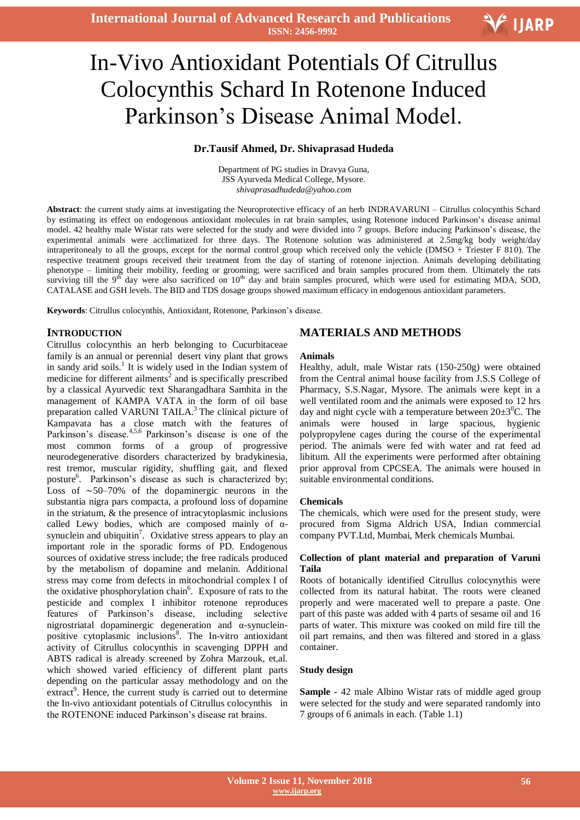# Ξ In-Vivo Antioxidant Potentials Of Citrullus Colocynthis Schard In Rotenone Induced Parkinson's Disease Animal Model.

## **Dr.Tausif Ahmed, Dr. Shivaprasad Hudeda**

Department of PG studies in Dravya Guna, JSS Ayurveda Medical College, Mysore. *shivaprasadhudeda@yahoo.com*

**Abstract**: the current study aims at investigating the Neuroprotective efficacy of an herb INDRAVARUNI – Citrullus colocynthis Schard by estimating its effect on endogenous antioxidant molecules in rat brain samples, using Rotenone induced Parkinson's disease animal model. 42 healthy male Wistar rats were selected for the study and were divided into 7 groups. Before inducing Parkinson's disease, the experimental animals were acclimatized for three days. The Rotenone solution was administered at 2.5mg/kg body weight/day intraperitonealy to all the groups, except for the normal control group which received only the vehicle (DMSO + Triester F 810). The respective treatment groups received their treatment from the day of starting of rotenone injection. Animals developing debilitating phenotype – limiting their mobility, feeding or grooming; were sacrificed and brain samples procured from them. Ultimately the rats surviving till the 9<sup>th</sup> day were also sacrificed on 10<sup>th</sup> day and brain samples procured, which were used for estimating MDA, SOD, CATALASE and GSH levels. The BID and TDS dosage groups showed maximum efficacy in endogenous antioxidant parameters.

**Keywords**: Citrullus colocynthis, Antioxidant, Rotenone, Parkinson's disease.

## **INTRODUCTION**

Citrullus colocynthis an herb belonging to Cucurbitaceae family is an annual or perennial desert viny plant that grows in sandy arid soils.<sup>1</sup> It is widely used in the Indian system of medicine for different ailments<sup>2</sup> and is specifically prescribed by a classical Ayurvedic text Sharangadhara Samhita in the management of KAMPA VATA in the form of oil base preparation called VARUNI TAILA.<sup>3</sup> The clinical picture of Kampavata has a close match with the features of Parkinson's disease.<sup>4,5,6</sup> Parkinson's disease is one of the most common forms of a group of progressive neurodegenerative disorders characterized by bradykinesia, rest tremor, muscular rigidity, shuffling gait, and flexed posture<sup>6</sup>. Parkinson's disease as such is characterized by; Loss of ∼50–70% of the dopaminergic neurons in the substantia nigra pars compacta, a profound loss of dopamine in the striatum, & the presence of intracytoplasmic inclusions called Lewy bodies, which are composed mainly of  $\alpha$ synuclein and ubiquitin<sup>7</sup>. Oxidative stress appears to play an important role in the sporadic forms of PD. Endogenous sources of oxidative stress include; the free radicals produced by the metabolism of dopamine and melanin. Additional stress may come from defects in mitochondrial complex I of the oxidative phosphorylation chain<sup>6</sup>. Exposure of rats to the pesticide and complex I inhibitor rotenone reproduces features of Parkinson's disease, including selective nigrostriatal dopaminergic degeneration and α-synucleinpositive cytoplasmic inclusions<sup>8</sup>. The In-vitro antioxidant activity of Citrullus colocynthis in scavenging DPPH and ABTS radical is already screened by Zohra Marzouk, et,al. which showed varied efficiency of different plant parts depending on the particular assay methodology and on the extract<sup>9</sup>. Hence, the current study is carried out to determine the In-vivo antioxidant potentials of Citrullus colocynthis in the ROTENONE induced Parkinson's disease rat brains.

## **MATERIALS AND METHODS**

#### **Animals**

Healthy, adult, male Wistar rats (150-250g) were obtained from the Central animal house facility from J.S.S College of Pharmacy, S.S.Nagar, Mysore. The animals were kept in a well ventilated room and the animals were exposed to 12 hrs day and night cycle with a temperature between  $20\pm3^0C$ . The animals were housed in large spacious, hygienic polypropylene cages during the course of the experimental period. The animals were fed with water and rat feed ad libitum. All the experiments were performed after obtaining prior approval from CPCSEA. The animals were housed in suitable environmental conditions.

#### **Chemicals**

The chemicals, which were used for the present study, were procured from Sigma Aldrich USA, Indian commercial company PVT.Ltd, Mumbai, Merk chemicals Mumbai.

## **Collection of plant material and preparation of Varuni Taila**

Roots of botanically identified Citrullus colocynythis were collected from its natural habitat. The roots were cleaned properly and were macerated well to prepare a paste. One part of this paste was added with 4 parts of sesame oil and 16 parts of water. This mixture was cooked on mild fire till the oil part remains, and then was filtered and stored in a glass container.

#### **Study design**

**Sample -** 42 male Albino Wistar rats of middle aged group were selected for the study and were separated randomly into 7 groups of 6 animals in each. (Table 1.1)

V IJARP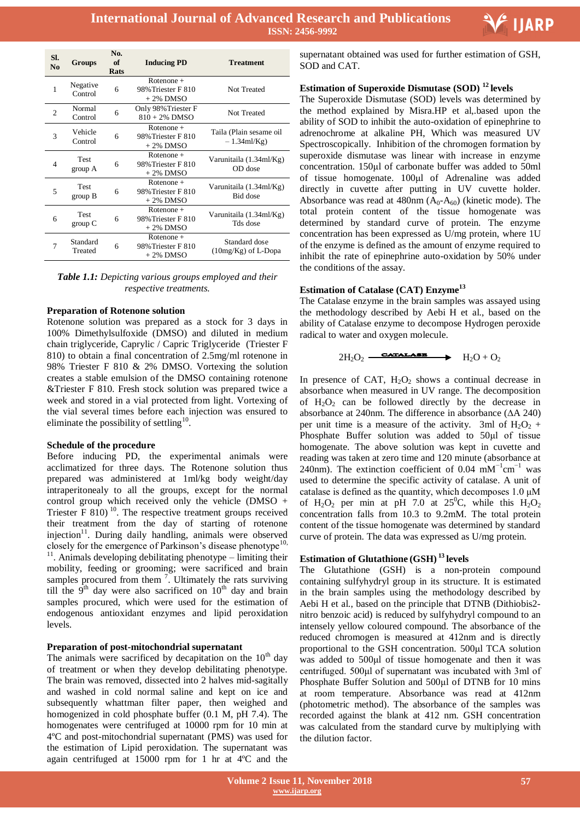

| SI.<br>N <sub>0</sub> | <b>Groups</b>          | No.<br>of<br>Rats | <b>Inducing PD</b>                                | Treatment                                 |
|-----------------------|------------------------|-------------------|---------------------------------------------------|-------------------------------------------|
| 1                     | Negative<br>Control    | 6                 | $Rotenone +$<br>98% Triester F 810<br>$+2\%$ DMSO | Not Treated                               |
| $\overline{c}$        | Normal<br>Control      | 6                 | Only 98% Triester F<br>$810 + 2\%$ DMSO           | Not Treated                               |
| 3                     | Vehicle<br>Control     | 6                 | $Rotenone +$<br>98% Triester F 810<br>$+2\%$ DMSO | Taila (Plain sesame oil<br>$-1.34$ ml/Kg) |
| 4                     | Test<br>group A        | 6                 | $Rotenone +$<br>98% Triester F 810<br>$+2\%$ DMSO | Varunitaila (1.34ml/Kg)<br>OD dose        |
| 5                     | <b>Test</b><br>group B | 6                 | $Rotenone +$<br>98% Triester F 810<br>$+2\%$ DMSO | Varunitaila (1.34ml/Kg)<br>Bid dose       |
| 6                     | <b>Test</b><br>group C | 6                 | $Rotenone +$<br>98% Triester F 810<br>$+2\%$ DMSO | Varunitaila (1.34ml/Kg)<br>Tds dose       |
|                       | Standard<br>Treated    | 6                 | $Rotenone +$<br>98% Triester F 810<br>$+2\%$ DMSO | Standard dose<br>$(10mg/Kg)$ of L-Dopa    |

## *Table 1.1: Depicting various groups employed and their respective treatments.*

## **Preparation of Rotenone solution**

Rotenone solution was prepared as a stock for 3 days in 100% Dimethylsulfoxide (DMSO) and diluted in medium chain triglyceride, Caprylic / Capric Triglyceride (Triester F 810) to obtain a final concentration of 2.5mg/ml rotenone in 98% Triester F 810 & 2% DMSO. Vortexing the solution creates a stable emulsion of the DMSO containing rotenone &Triester F 810. Fresh stock solution was prepared twice a week and stored in a vial protected from light. Vortexing of the vial several times before each injection was ensured to eliminate the possibility of settling<sup>10</sup>.

## **Schedule of the procedure**

Before inducing PD, the experimental animals were acclimatized for three days. The Rotenone solution thus prepared was administered at 1ml/kg body weight/day intraperitonealy to all the groups, except for the normal control group which received only the vehicle (DMSO + Triester  $\overline{F}$  810)<sup>10</sup>. The respective treatment groups received their treatment from the day of starting of rotenone injection $11$ . During daily handling, animals were observed closely for the emergence of Parkinson's disease phenotype<sup>10,</sup>  $11$ . Animals developing debilitating phenotype – limiting their mobility, feeding or grooming; were sacrificed and brain samples procured from them  $\frac{7}{1}$ . Ultimately the rats surviving till the  $9<sup>th</sup>$  day were also sacrificed on  $10<sup>th</sup>$  day and brain samples procured, which were used for the estimation of endogenous antioxidant enzymes and lipid peroxidation levels.

#### **Preparation of post-mitochondrial supernatant**

The animals were sacrificed by decapitation on the  $10<sup>th</sup>$  day of treatment or when they develop debilitating phenotype. The brain was removed, dissected into 2 halves mid-sagitally and washed in cold normal saline and kept on ice and subsequently whattman filter paper, then weighed and homogenized in cold phosphate buffer (0.1 M, pH 7.4). The homogenates were centrifuged at 10000 rpm for 10 min at 4ºC and post-mitochondrial supernatant (PMS) was used for the estimation of Lipid peroxidation. The supernatant was again centrifuged at 15000 rpm for 1 hr at 4ºC and the

 supernatant obtained was used for further estimation of GSH, SOD and CAT.

## **Estimation of Superoxide Dismutase (SOD) <sup>12</sup>levels**

The Superoxide Dismutase (SOD) levels was determined by the method explained by Misra.HP et al,.based upon the ability of SOD to inhibit the auto-oxidation of epinephrine to adrenochrome at alkaline PH, Which was measured UV Spectroscopically. Inhibition of the chromogen formation by superoxide dismutase was linear with increase in enzyme concentration. 150μl of carbonate buffer was added to 50ml of tissue homogenate. 100μl of Adrenaline was added directly in cuvette after putting in UV cuvette holder. Absorbance was read at  $480$ nm  $(A_0-A_{60})$  (kinetic mode). The total protein content of the tissue homogenate was determined by standard curve of protein. The enzyme concentration has been expressed as U/mg protein, where 1U of the enzyme is defined as the amount of enzyme required to inhibit the rate of epinephrine auto-oxidation by 50% under the conditions of the assay.

## **Estimation of Catalase (CAT) Enzyme<sup>13</sup>**

The Catalase enzyme in the brain samples was assayed using the methodology described by Aebi H et al., based on the ability of Catalase enzyme to decompose Hydrogen peroxide radical to water and oxygen molecule.

$$
2H_2O_2 \xrightarrow{\text{CATALASE}} H_2O + O_2
$$

In presence of CAT,  $H_2O_2$  shows a continual decrease in absorbance when measured in UV range. The decomposition of  $H_2O_2$  can be followed directly by the decrease in absorbance at 240nm. The difference in absorbance (∆A 240) per unit time is a measure of the activity. 3ml of  $H_2O_2$  + Phosphate Buffer solution was added to 50μl of tissue homogenate. The above solution was kept in cuvette and reading was taken at zero time and 120 minute (absorbance at 240nm). The extinction coefficient of 0.04 mM<sup>-1</sup>cm<sup>-1</sup> was used to determine the specific activity of catalase. A unit of catalase is defined as the quantity, which decomposes  $1.0 \mu M$ of H<sub>2</sub>O<sub>2</sub> per min at pH 7.0 at 25<sup>°</sup>C, while this H<sub>2</sub>O<sub>2</sub> concentration falls from 10.3 to 9.2mM. The total protein content of the tissue homogenate was determined by standard curve of protein. The data was expressed as U/mg protein.

## **Estimation of Glutathione (GSH) <sup>13</sup>levels**

The Glutathione (GSH) is a non-protein compound containing sulfyhydryl group in its structure. It is estimated in the brain samples using the methodology described by Aebi H et al., based on the principle that DTNB (Dithiobis2 nitro benzoic acid) is reduced by sulfyhydryl compound to an intensely yellow coloured compound. The absorbance of the reduced chromogen is measured at 412nm and is directly proportional to the GSH concentration. 500μl TCA solution was added to 500μl of tissue homogenate and then it was centrifuged. 500μl of supernatant was incubated with 3ml of Phosphate Buffer Solution and 500μl of DTNB for 10 mins at room temperature. Absorbance was read at 412nm (photometric method). The absorbance of the samples was recorded against the blank at 412 nm. GSH concentration was calculated from the standard curve by multiplying with the dilution factor.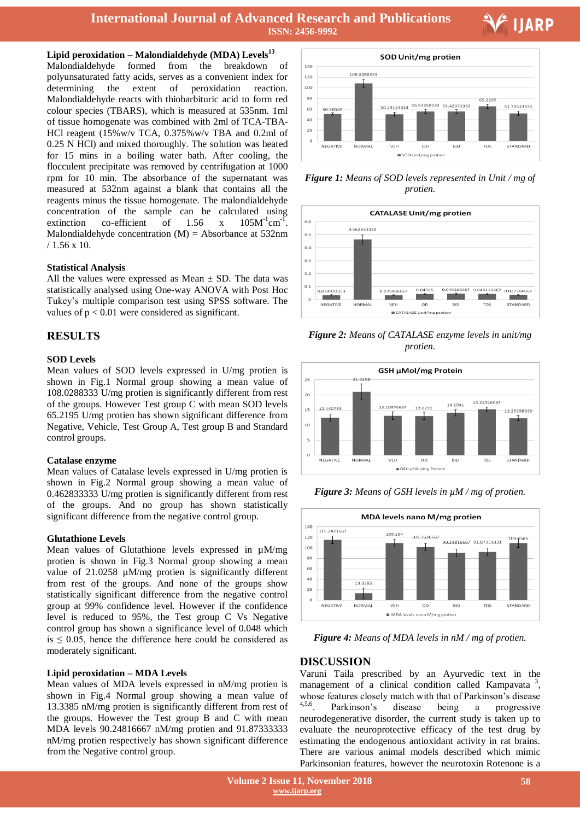## **Lipid peroxidation – Malondialdehyde (MDA) Levels<sup>13</sup>**

Malondialdehyde formed from the breakdown of polyunsaturated fatty acids, serves as a convenient index for determining the extent of peroxidation reaction. Malondialdehyde reacts with thiobarbituric acid to form red colour species (TBARS), which is measured at 535nm. 1ml of tissue homogenate was combined with 2ml of TCA-TBA-HCl reagent (15%w/v TCA, 0.375%w/v TBA and 0.2ml of 0.25 N HCl) and mixed thoroughly. The solution was heated for 15 mins in a boiling water bath. After cooling, the flocculent precipitate was removed by centrifugation at 1000 rpm for 10 min. The absorbance of the supernatant was measured at 532nm against a blank that contains all the reagents minus the tissue homogenate. The malondialdehyde concentration of the sample can be calculated using extinction co-efficient of  $1.56 \times x$  $105M^{-1}$ cm<sup>-1</sup> . Malondialdehyde concentration  $(M)$  = Absorbance at 532nm / 1.56 x 10.

#### **Statistical Analysis**

All the values were expressed as Mean  $\pm$  SD. The data was statistically analysed using One-way ANOVA with Post Hoc Tukey's multiple comparison test using SPSS software. The values of  $p < 0.01$  were considered as significant.

## **RESULTS**

## **SOD Levels**

Mean values of SOD levels expressed in U/mg protien is shown in Fig.1 Normal group showing a mean value of 108.0288333 U/mg protien is significantly different from rest of the groups. However Test group C with mean SOD levels 65.2195 U/mg protien has shown significant difference from Negative, Vehicle, Test Group A, Test group B and Standard control groups.

#### **Catalase enzyme**

Mean values of Catalase levels expressed in U/mg protien is shown in Fig.2 Normal group showing a mean value of 0.462833333 U/mg protien is significantly different from rest of the groups. And no group has shown statistically significant difference from the negative control group.

#### **Glutathione Levels**

Mean values of Glutathione levels expressed in µM/mg protien is shown in Fig.3 Normal group showing a mean value of 21.0258  $\mu$ M/mg protien is significantly different from rest of the groups. And none of the groups show statistically significant difference from the negative control group at 99% confidence level. However if the confidence level is reduced to 95%, the Test group C Vs Negative control group has shown a significance level of 0.048 which  $is \leq 0.05$ , hence the difference here could be considered as moderately significant.

#### **Lipid peroxidation – MDA Levels**

Mean values of MDA levels expressed in nM/mg protien is shown in Fig.4 Normal group showing a mean value of 13.3385 nM/mg protien is significantly different from rest of the groups. However the Test group B and C with mean MDA levels 90.24816667 nM/mg protien and 91.87333333 nM/mg protien respectively has shown significant difference from the Negative control group.



V IJARP

*Figure 1: Means of SOD levels represented in Unit / mg of protien.*



*Figure 2: Means of CATALASE enzyme levels in unit/mg protien.*





*Figure 3: Means of GSH levels in µM / mg of protien.*

*Figure 4: Means of MDA levels in nM / mg of protien.*

## **DISCUSSION**

Varuni Taila prescribed by an Ayurvedic text in the management of a clinical condition called Kampavata<sup>3</sup>, whose features closely match with that of Parkinson's disease<br><sup>4,5,6</sup> Parkinson's disease being a progressive Parkinson's disease being a progressive neurodegenerative disorder, the current study is taken up to evaluate the neuroprotective efficacy of the test drug by estimating the endogenous antioxidant activity in rat brains. There are various animal models described which mimic Parkinsonian features, however the neurotoxin Rotenone is a

 **Volume 2 Issue 11, November 2018 www.ijarp.org**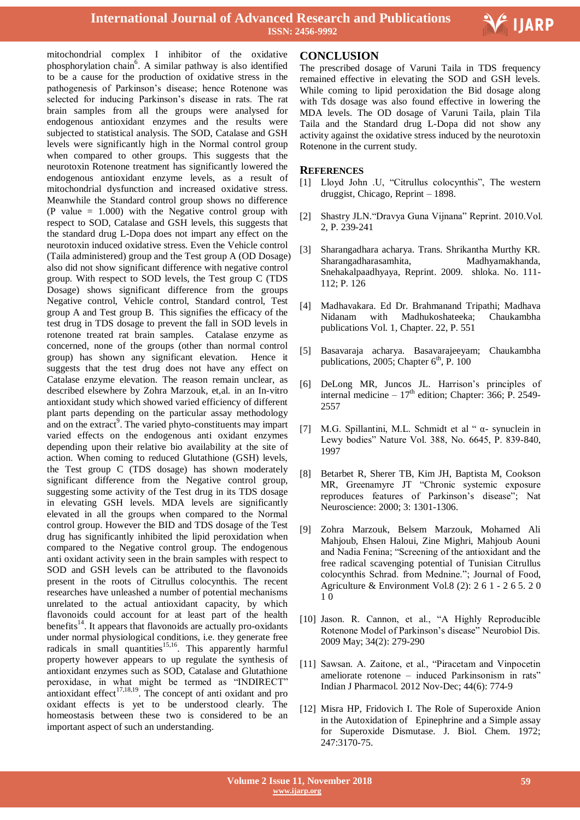

Ξ

mitochondrial complex I inhibitor of the oxidative phosphorylation chain<sup>6</sup>. A similar pathway is also identified to be a cause for the production of oxidative stress in the pathogenesis of Parkinson's disease; hence Rotenone was selected for inducing Parkinson's disease in rats. The rat brain samples from all the groups were analysed for endogenous antioxidant enzymes and the results were subjected to statistical analysis. The SOD, Catalase and GSH levels were significantly high in the Normal control group when compared to other groups. This suggests that the neurotoxin Rotenone treatment has significantly lowered the endogenous antioxidant enzyme levels, as a result of mitochondrial dysfunction and increased oxidative stress. Meanwhile the Standard control group shows no difference (P value = 1.000) with the Negative control group with respect to SOD, Catalase and GSH levels, this suggests that the standard drug L-Dopa does not impart any effect on the neurotoxin induced oxidative stress. Even the Vehicle control (Taila administered) group and the Test group A (OD Dosage) also did not show significant difference with negative control group. With respect to SOD levels, the Test group C (TDS Dosage) shows significant difference from the groups Negative control, Vehicle control, Standard control, Test group A and Test group B. This signifies the efficacy of the test drug in TDS dosage to prevent the fall in SOD levels in rotenone treated rat brain samples. Catalase enzyme as concerned, none of the groups (other than normal control group) has shown any significant elevation. Hence it suggests that the test drug does not have any effect on Catalase enzyme elevation. The reason remain unclear, as described elsewhere by Zohra Marzouk, et,al. in an In-vitro antioxidant study which showed varied efficiency of different plant parts depending on the particular assay methodology and on the extract<sup>9</sup>. The varied phyto-constituents may impart varied effects on the endogenous anti oxidant enzymes depending upon their relative bio availability at the site of action. When coming to reduced Glutathione (GSH) levels, the Test group C (TDS dosage) has shown moderately significant difference from the Negative control group, suggesting some activity of the Test drug in its TDS dosage in elevating GSH levels. MDA levels are significantly elevated in all the groups when compared to the Normal control group. However the BID and TDS dosage of the Test drug has significantly inhibited the lipid peroxidation when compared to the Negative control group. The endogenous anti oxidant activity seen in the brain samples with respect to SOD and GSH levels can be attributed to the flavonoids present in the roots of Citrullus colocynthis. The recent researches have unleashed a number of potential mechanisms unrelated to the actual antioxidant capacity, by which flavonoids could account for at least part of the health benefits<sup>14</sup>. It appears that flavonoids are actually pro-oxidants under normal physiological conditions, i.e. they generate free radicals in small quantities<sup>15,16</sup>. This apparently harmful property however appears to up regulate the synthesis of antioxidant enzymes such as SOD, Catalase and Glutathione peroxidase, in what might be termed as "INDIRECT" antioxidant effect $17,18,19$ . The concept of anti oxidant and pro oxidant effects is yet to be understood clearly. The homeostasis between these two is considered to be an important aspect of such an understanding.

## **CONCLUSION**

The prescribed dosage of Varuni Taila in TDS frequency remained effective in elevating the SOD and GSH levels. While coming to lipid peroxidation the Bid dosage along with Tds dosage was also found effective in lowering the MDA levels. The OD dosage of Varuni Taila, plain Tila Taila and the Standard drug L-Dopa did not show any activity against the oxidative stress induced by the neurotoxin Rotenone in the current study.

## **REFERENCES**

- [1] Lloyd John .U, "Citrullus colocynthis", The western druggist, Chicago, Reprint – 1898.
- [2] Shastry JLN."Dravya Guna Vijnana" Reprint. 2010.Vol. 2, P. 239-241
- [3] Sharangadhara acharya. Trans. Shrikantha Murthy KR. Sharangadharasamhita, Madhyamakhanda, Snehakalpaadhyaya, Reprint. 2009. shloka. No. 111- 112; P. 126
- [4] Madhavakara. Ed Dr. Brahmanand Tripathi; Madhava Nidanam with Madhukoshateeka; Chaukambha publications Vol. 1, Chapter. 22, P. 551
- [5] Basavaraja acharya. Basavarajeeyam; Chaukambha publications, 2005; Chapter  $6<sup>th</sup>$ , P. 100
- [6] DeLong MR, Juncos JL. Harrison's principles of internal medicine –  $17<sup>th</sup>$  edition; Chapter: 366; P. 2549-2557
- [7] M.G. Spillantini, M.L. Schmidt et al " α- synuclein in Lewy bodies" Nature Vol. 388, No. 6645, P. 839-840, 1997
- [8] Betarbet R, Sherer TB, Kim JH, Baptista M, Cookson MR, Greenamyre JT "Chronic systemic exposure reproduces features of Parkinson's disease"; Nat Neuroscience: 2000; 3: 1301-1306.
- [9] Zohra Marzouk, Belsem Marzouk, Mohamed Ali Mahjoub, Ehsen Haloui, Zine Mighri, Mahjoub Aouni and Nadia Fenina; "Screening of the antioxidant and the free radical scavenging potential of Tunisian Citrullus colocynthis Schrad. from Mednine."; Journal of Food, Agriculture & Environment Vol.8 (2): 2 6 1 - 2 6 5. 2 0 1 0
- [10] Jason. R. Cannon, et al., "A Highly Reproducible Rotenone Model of Parkinson's disease" Neurobiol Dis. 2009 May; 34(2): 279-290
- [11] Sawsan. A. Zaitone, et al., "Piracetam and Vinpocetin ameliorate rotenone – induced Parkinsonism in rats" Indian J Pharmacol. 2012 Nov-Dec; 44(6): 774-9
- [12] Misra HP, Fridovich I. The Role of Superoxide Anion in the Autoxidation of Epinephrine and a Simple assay for Superoxide Dismutase. J. Biol. Chem. 1972; 247:3170-75.